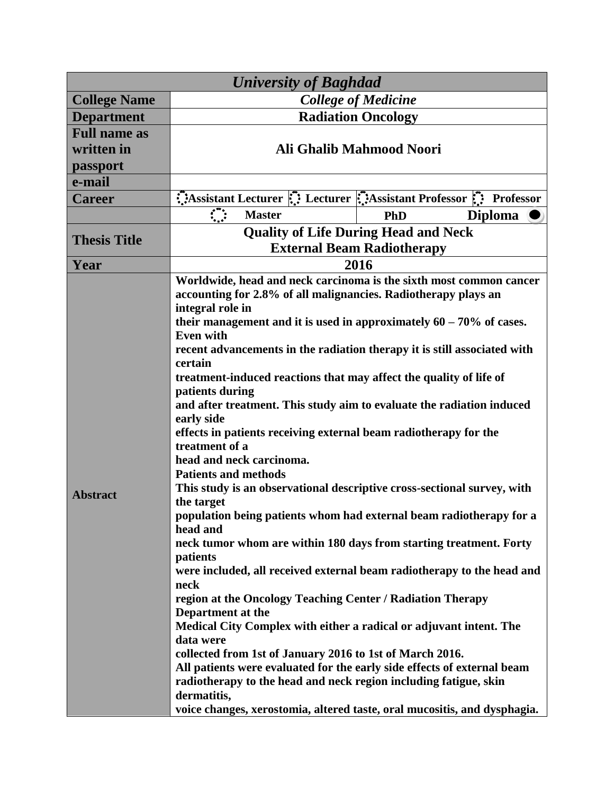| <b>University of Baghdad</b> |                                                                                                                                                                                                                                                                                                                                                                                                                                                                                                                                                                                                                                                                                                                                                                                                                                                                                                                                                                                                                                                                                                                                                                                                                                                                                                                                                                                                                 |                                                                    |  |
|------------------------------|-----------------------------------------------------------------------------------------------------------------------------------------------------------------------------------------------------------------------------------------------------------------------------------------------------------------------------------------------------------------------------------------------------------------------------------------------------------------------------------------------------------------------------------------------------------------------------------------------------------------------------------------------------------------------------------------------------------------------------------------------------------------------------------------------------------------------------------------------------------------------------------------------------------------------------------------------------------------------------------------------------------------------------------------------------------------------------------------------------------------------------------------------------------------------------------------------------------------------------------------------------------------------------------------------------------------------------------------------------------------------------------------------------------------|--------------------------------------------------------------------|--|
| <b>College Name</b>          | <b>College of Medicine</b>                                                                                                                                                                                                                                                                                                                                                                                                                                                                                                                                                                                                                                                                                                                                                                                                                                                                                                                                                                                                                                                                                                                                                                                                                                                                                                                                                                                      |                                                                    |  |
| <b>Department</b>            | <b>Radiation Oncology</b>                                                                                                                                                                                                                                                                                                                                                                                                                                                                                                                                                                                                                                                                                                                                                                                                                                                                                                                                                                                                                                                                                                                                                                                                                                                                                                                                                                                       |                                                                    |  |
| <b>Full name as</b>          |                                                                                                                                                                                                                                                                                                                                                                                                                                                                                                                                                                                                                                                                                                                                                                                                                                                                                                                                                                                                                                                                                                                                                                                                                                                                                                                                                                                                                 |                                                                    |  |
| written in                   | Ali Ghalib Mahmood Noori                                                                                                                                                                                                                                                                                                                                                                                                                                                                                                                                                                                                                                                                                                                                                                                                                                                                                                                                                                                                                                                                                                                                                                                                                                                                                                                                                                                        |                                                                    |  |
| passport                     |                                                                                                                                                                                                                                                                                                                                                                                                                                                                                                                                                                                                                                                                                                                                                                                                                                                                                                                                                                                                                                                                                                                                                                                                                                                                                                                                                                                                                 |                                                                    |  |
| e-mail                       |                                                                                                                                                                                                                                                                                                                                                                                                                                                                                                                                                                                                                                                                                                                                                                                                                                                                                                                                                                                                                                                                                                                                                                                                                                                                                                                                                                                                                 |                                                                    |  |
| <b>Career</b>                |                                                                                                                                                                                                                                                                                                                                                                                                                                                                                                                                                                                                                                                                                                                                                                                                                                                                                                                                                                                                                                                                                                                                                                                                                                                                                                                                                                                                                 | Assistant Lecturer :: Lecturer :: Assistant Professor :: Professor |  |
|                              | $\ddot{\cdot}$<br><b>Master</b>                                                                                                                                                                                                                                                                                                                                                                                                                                                                                                                                                                                                                                                                                                                                                                                                                                                                                                                                                                                                                                                                                                                                                                                                                                                                                                                                                                                 | Diploma<br><b>PhD</b>                                              |  |
| <b>Thesis Title</b>          | <b>Quality of Life During Head and Neck</b>                                                                                                                                                                                                                                                                                                                                                                                                                                                                                                                                                                                                                                                                                                                                                                                                                                                                                                                                                                                                                                                                                                                                                                                                                                                                                                                                                                     |                                                                    |  |
|                              | <b>External Beam Radiotherapy</b>                                                                                                                                                                                                                                                                                                                                                                                                                                                                                                                                                                                                                                                                                                                                                                                                                                                                                                                                                                                                                                                                                                                                                                                                                                                                                                                                                                               |                                                                    |  |
| Year                         | 2016                                                                                                                                                                                                                                                                                                                                                                                                                                                                                                                                                                                                                                                                                                                                                                                                                                                                                                                                                                                                                                                                                                                                                                                                                                                                                                                                                                                                            |                                                                    |  |
| <b>Abstract</b>              | Worldwide, head and neck carcinoma is the sixth most common cancer<br>accounting for 2.8% of all malignancies. Radiotherapy plays an<br>integral role in<br>their management and it is used in approximately $60 - 70\%$ of cases.<br><b>Even with</b><br>recent advancements in the radiation therapy it is still associated with<br>certain<br>treatment-induced reactions that may affect the quality of life of<br>patients during<br>and after treatment. This study aim to evaluate the radiation induced<br>early side<br>effects in patients receiving external beam radiotherapy for the<br>treatment of a<br>head and neck carcinoma.<br><b>Patients and methods</b><br>This study is an observational descriptive cross-sectional survey, with<br>the target<br>population being patients whom had external beam radiotherapy for a<br>head and<br>neck tumor whom are within 180 days from starting treatment. Forty<br>patients<br>were included, all received external beam radiotherapy to the head and<br>neck<br>region at the Oncology Teaching Center / Radiation Therapy<br>Department at the<br>Medical City Complex with either a radical or adjuvant intent. The<br>data were<br>collected from 1st of January 2016 to 1st of March 2016.<br>All patients were evaluated for the early side effects of external beam<br>radiotherapy to the head and neck region including fatigue, skin |                                                                    |  |